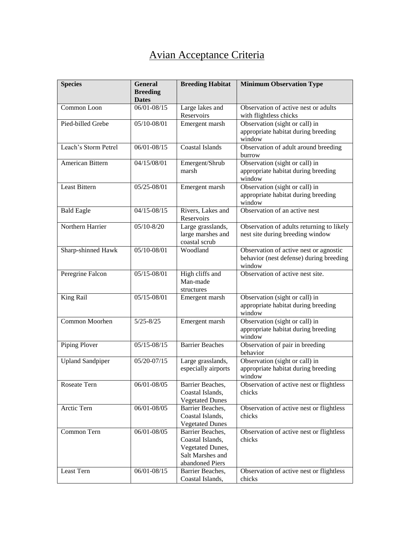## Avian Acceptance Criteria

| <b>Species</b>          | <b>General</b><br><b>Breeding</b><br><b>Dates</b> | <b>Breeding Habitat</b>                                                                         | <b>Minimum Observation Type</b>                                                             |
|-------------------------|---------------------------------------------------|-------------------------------------------------------------------------------------------------|---------------------------------------------------------------------------------------------|
| Common Loon             | $06/01 - 08/15$                                   | Large lakes and<br>Reservoirs                                                                   | Observation of active nest or adults<br>with flightless chicks                              |
| Pied-billed Grebe       | 05/10-08/01                                       | Emergent marsh                                                                                  | Observation (sight or call) in<br>appropriate habitat during breeding<br>window             |
| Leach's Storm Petrel    | $06/01 - 08/15$                                   | <b>Coastal Islands</b>                                                                          | Observation of adult around breeding<br>burrow                                              |
| American Bittern        | 04/15/08/01                                       | Emergent/Shrub<br>marsh                                                                         | Observation (sight or call) in<br>appropriate habitat during breeding<br>window             |
| <b>Least Bittern</b>    | $05/25 - 08/01$                                   | Emergent marsh                                                                                  | Observation (sight or call) in<br>appropriate habitat during breeding<br>window             |
| <b>Bald Eagle</b>       | $04/15 - 08/15$                                   | Rivers, Lakes and<br>Reservoirs                                                                 | Observation of an active nest                                                               |
| Northern Harrier        | $05/10 - 8/20$                                    | Large grasslands,<br>large marshes and<br>coastal scrub                                         | Observation of adults returning to likely<br>nest site during breeding window               |
| Sharp-shinned Hawk      | 05/10-08/01                                       | Woodland                                                                                        | Observation of active nest or agnostic<br>behavior (nest defense) during breeding<br>window |
| Peregrine Falcon        | 05/15-08/01                                       | High cliffs and<br>Man-made<br>structures                                                       | Observation of active nest site.                                                            |
| King Rail               | $05/15 - 08/01$                                   | Emergent marsh                                                                                  | Observation (sight or call) in<br>appropriate habitat during breeding<br>window             |
| Common Moorhen          | $5/25 - 8/25$                                     | Emergent marsh                                                                                  | Observation (sight or call) in<br>appropriate habitat during breeding<br>window             |
| Piping Plover           | $05/15 - 08/15$                                   | <b>Barrier Beaches</b>                                                                          | Observation of pair in breeding<br>behavior                                                 |
| <b>Upland Sandpiper</b> | 05/20-07/15                                       | Large grasslands,<br>especially airports                                                        | Observation (sight or call) in<br>appropriate habitat during breeding<br>window             |
| Roseate Tern            | 06/01-08/05                                       | Barrier Beaches,<br>Coastal Islands,<br><b>Vegetated Dunes</b>                                  | Observation of active nest or flightless<br>chicks                                          |
| Arctic Tern             | 06/01-08/05                                       | Barrier Beaches,<br>Coastal Islands,<br><b>Vegetated Dunes</b>                                  | Observation of active nest or flightless<br>chicks                                          |
| Common Tern             | 06/01-08/05                                       | Barrier Beaches,<br>Coastal Islands,<br>Vegetated Dunes,<br>Salt Marshes and<br>abandoned Piers | Observation of active nest or flightless<br>chicks                                          |
| Least Tern              | 06/01-08/15                                       | Barrier Beaches,<br>Coastal Islands,                                                            | Observation of active nest or flightless<br>chicks                                          |